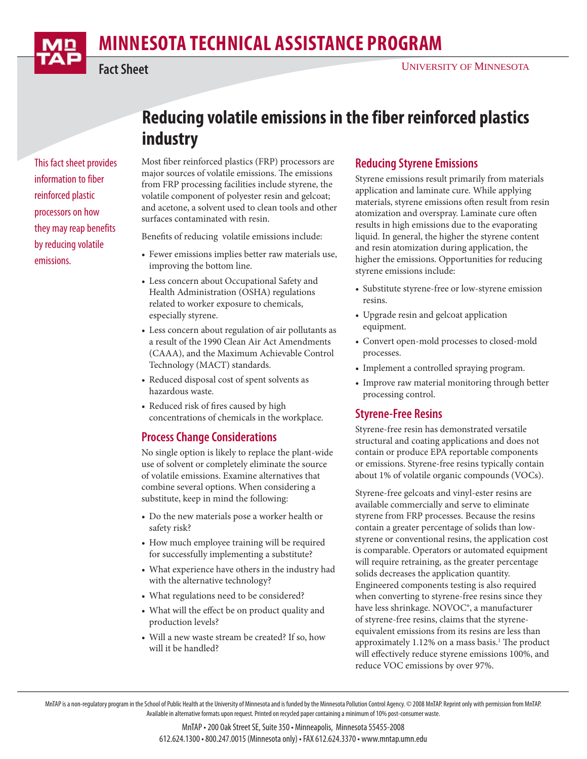# **MINNESOTA TECHNICAL ASSISTANCE PROGRAM**



#### UNIVERSITY OF MINNESOTA

This fact sheet provides information to fiber reinforced plastic processors on how they may reap benefits by reducing volatile emissions.

## **Reducing volatile emissions in the fiber reinforced plastics industry**

Most fiber reinforced plastics (FRP) processors are major sources of volatile emissions. The emissions from FRP processing facilities include styrene, the volatile component of polyester resin and gelcoat; and acetone, a solvent used to clean tools and other surfaces contaminated with resin.

Benefits of reducing volatile emissions include:

- Fewer emissions implies better raw materials use, improving the bottom line.
- Less concern about Occupational Safety and Health Administration (OSHA) regulations related to worker exposure to chemicals, especially styrene.
- Less concern about regulation of air pollutants as a result of the 1990 Clean Air Act Amendments (CAAA), and the Maximum Achievable Control Technology (MACT) standards.
- Reduced disposal cost of spent solvents as hazardous waste.
- Reduced risk of fires caused by high concentrations of chemicals in the workplace.

## **Process Change Considerations**

No single option is likely to replace the plant-wide use of solvent or completely eliminate the source of volatile emissions. Examine alternatives that combine several options. When considering a substitute, keep in mind the following:

- Do the new materials pose a worker health or safety risk?
- How much employee training will be required for successfully implementing a substitute?
- What experience have others in the industry had with the alternative technology?
- What regulations need to be considered?
- What will the effect be on product quality and production levels?
- Will a new waste stream be created? If so, how will it be handled?

### **Reducing Styrene Emissions**

Styrene emissions result primarily from materials application and laminate cure. While applying materials, styrene emissions often result from resin atomization and overspray. Laminate cure often results in high emissions due to the evaporating liquid. In general, the higher the styrene content and resin atomization during application, the higher the emissions. Opportunities for reducing styrene emissions include:

- Substitute styrene-free or low-styrene emission resins.
- Upgrade resin and gelcoat application equipment.
- Convert open-mold processes to closed-mold processes.
- Implement a controlled spraying program.
- Improve raw material monitoring through better processing control.

#### **Styrene-Free Resins**

Styrene-free resin has demonstrated versatile structural and coating applications and does not contain or produce EPA reportable components or emissions. Styrene-free resins typically contain about 1% of volatile organic compounds (VOCs).

Styrene-free gelcoats and vinyl-ester resins are available commercially and serve to eliminate styrene from FRP processes. Because the resins contain a greater percentage of solids than lowstyrene or conventional resins, the application cost is comparable. Operators or automated equipment will require retraining, as the greater percentage solids decreases the application quantity. Engineered components testing is also required when converting to styrene-free resins since they have less shrinkage. NOVOC®, a manufacturer of styrene-free resins, claims that the styreneequivalent emissions from its resins are less than approximately 1.12% on a mass basis.<sup>1</sup> The product will effectively reduce styrene emissions 100%, and reduce VOC emissions by over 97%.

MnTAP is a non-regulatory program in the School of Public Health at the University of Minnesota and is funded by the Minnesota Pollution Control Agency. © 2008 MnTAP. Reprint only with permission from MnTAP. Available in alternative formats upon request. Printed on recycled paper containing a minimum of 10% post-consumer waste.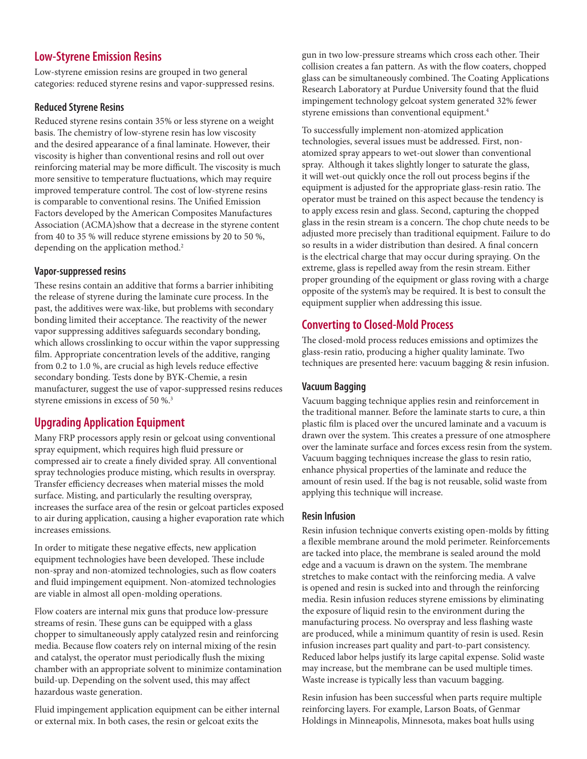## **Low-Styrene Emission Resins**

Low-styrene emission resins are grouped in two general categories: reduced styrene resins and vapor-suppressed resins.

#### **Reduced Styrene Resins**

Reduced styrene resins contain 35% or less styrene on a weight basis. The chemistry of low-styrene resin has low viscosity and the desired appearance of a final laminate. However, their viscosity is higher than conventional resins and roll out over reinforcing material may be more difficult. The viscosity is much more sensitive to temperature fluctuations, which may require improved temperature control. The cost of low-styrene resins is comparable to conventional resins. The Unified Emission Factors developed by the American Composites Manufactures Association (ACMA)show that a decrease in the styrene content from 40 to 35 % will reduce styrene emissions by 20 to 50 %, depending on the application method.<sup>2</sup>

#### **Vapor-suppressed resins**

These resins contain an additive that forms a barrier inhibiting the release of styrene during the laminate cure process. In the past, the additives were wax-like, but problems with secondary bonding limited their acceptance. The reactivity of the newer vapor suppressing additives safeguards secondary bonding, which allows crosslinking to occur within the vapor suppressing film. Appropriate concentration levels of the additive, ranging from  $0.2$  to  $1.0$ %, are crucial as high levels reduce effective secondary bonding. Tests done by BYK-Chemie, a resin manufacturer, suggest the use of vapor-suppressed resins reduces styrene emissions in excess of 50 %.3

## **Upgrading Application Equipment**

Many FRP processors apply resin or gelcoat using conventional spray equipment, which requires high fluid pressure or compressed air to create a finely divided spray. All conventional spray technologies produce misting, which results in overspray. Transfer efficiency decreases when material misses the mold surface. Misting, and particularly the resulting overspray, increases the surface area of the resin or gelcoat particles exposed to air during application, causing a higher evaporation rate which increases emissions.

In order to mitigate these negative effects, new application equipment technologies have been developed. These include non-spray and non-atomized technologies, such as flow coaters and fluid impingement equipment. Non-atomized technologies are viable in almost all open-molding operations.

Flow coaters are internal mix guns that produce low-pressure streams of resin. These guns can be equipped with a glass chopper to simultaneously apply catalyzed resin and reinforcing media. Because flow coaters rely on internal mixing of the resin and catalyst, the operator must periodically flush the mixing chamber with an appropriate solvent to minimize contamination build-up. Depending on the solvent used, this may affect hazardous waste generation.

Fluid impingement application equipment can be either internal or external mix. In both cases, the resin or gelcoat exits the

gun in two low-pressure streams which cross each other. Their collision creates a fan pattern. As with the flow coaters, chopped glass can be simultaneously combined. The Coating Applications Research Laboratory at Purdue University found that the fluid impingement technology gelcoat system generated 32% fewer styrene emissions than conventional equipment.4

To successfully implement non-atomized application technologies, several issues must be addressed. First, nonatomized spray appears to wet-out slower than conventional spray. Although it takes slightly longer to saturate the glass, it will wet-out quickly once the roll out process begins if the equipment is adjusted for the appropriate glass-resin ratio. The operator must be trained on this aspect because the tendency is to apply excess resin and glass. Second, capturing the chopped glass in the resin stream is a concern. The chop chute needs to be adjusted more precisely than traditional equipment. Failure to do so results in a wider distribution than desired. A final concern is the electrical charge that may occur during spraying. On the extreme, glass is repelled away from the resin stream. Either proper grounding of the equipment or glass roving with a charge opposite of the system's may be required. It is best to consult the equipment supplier when addressing this issue.

## **Converting to Closed-Mold Process**

The closed-mold process reduces emissions and optimizes the glass-resin ratio, producing a higher quality laminate. Two techniques are presented here: vacuum bagging & resin infusion.

#### **Vacuum Bagging**

Vacuum bagging technique applies resin and reinforcement in the traditional manner. Before the laminate starts to cure, a thin plastic film is placed over the uncured laminate and a vacuum is drawn over the system. This creates a pressure of one atmosphere over the laminate surface and forces excess resin from the system. Vacuum bagging techniques increase the glass to resin ratio, enhance physical properties of the laminate and reduce the amount of resin used. If the bag is not reusable, solid waste from applying this technique will increase.

#### **Resin Infusion**

Resin infusion technique converts existing open-molds by fitting a flexible membrane around the mold perimeter. Reinforcements are tacked into place, the membrane is sealed around the mold edge and a vacuum is drawn on the system. The membrane stretches to make contact with the reinforcing media. A valve is opened and resin is sucked into and through the reinforcing media. Resin infusion reduces styrene emissions by eliminating the exposure of liquid resin to the environment during the manufacturing process. No overspray and less flashing waste are produced, while a minimum quantity of resin is used. Resin infusion increases part quality and part-to-part consistency. Reduced labor helps justify its large capital expense. Solid waste may increase, but the membrane can be used multiple times. Waste increase is typically less than vacuum bagging.

Resin infusion has been successful when parts require multiple reinforcing layers. For example, Larson Boats, of Genmar Holdings in Minneapolis, Minnesota, makes boat hulls using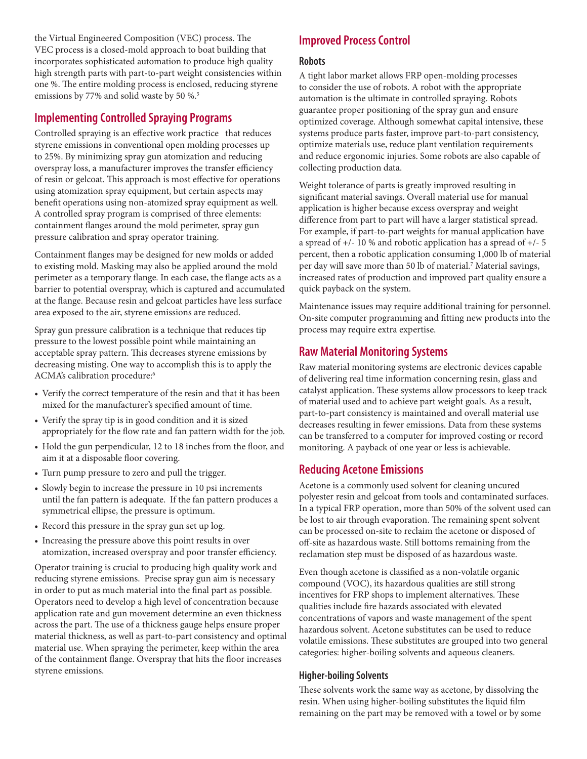the Virtual Engineered Composition (VEC) process. The VEC process is a closed-mold approach to boat building that incorporates sophisticated automation to produce high quality high strength parts with part-to-part weight consistencies within one %. The entire molding process is enclosed, reducing styrene emissions by 77% and solid waste by 50 %.<sup>5</sup>

## **Implementing Controlled Spraying Programs**

Controlled spraying is an effective work practice that reduces styrene emissions in conventional open molding processes up to 25%. By minimizing spray gun atomization and reducing overspray loss, a manufacturer improves the transfer efficiency of resin or gelcoat. This approach is most effective for operations using atomization spray equipment, but certain aspects may benefit operations using non-atomized spray equipment as well. A controlled spray program is comprised of three elements: containment flanges around the mold perimeter, spray gun pressure calibration and spray operator training.

Containment flanges may be designed for new molds or added to existing mold. Masking may also be applied around the mold perimeter as a temporary flange. In each case, the flange acts as a barrier to potential overspray, which is captured and accumulated at the flange. Because resin and gelcoat particles have less surface area exposed to the air, styrene emissions are reduced.

Spray gun pressure calibration is a technique that reduces tip pressure to the lowest possible point while maintaining an acceptable spray pattern. This decreases styrene emissions by decreasing misting. One way to accomplish this is to apply the ACMA's calibration procedure:6

- Verify the correct temperature of the resin and that it has been mixed for the manufacturer's specified amount of time.
- Verify the spray tip is in good condition and it is sized appropriately for the flow rate and fan pattern width for the job.
- Hold the gun perpendicular, 12 to 18 inches from the floor, and aim it at a disposable floor covering.
- Turn pump pressure to zero and pull the trigger.
- Slowly begin to increase the pressure in 10 psi increments until the fan pattern is adequate. If the fan pattern produces a symmetrical ellipse, the pressure is optimum.
- Record this pressure in the spray gun set up log.
- Increasing the pressure above this point results in over atomization, increased overspray and poor transfer efficiency.

Operator training is crucial to producing high quality work and reducing styrene emissions. Precise spray gun aim is necessary in order to put as much material into the final part as possible. Operators need to develop a high level of concentration because application rate and gun movement determine an even thickness across the part. The use of a thickness gauge helps ensure proper material thickness, as well as part-to-part consistency and optimal material use. When spraying the perimeter, keep within the area of the containment flange. Overspray that hits the floor increases styrene emissions.

## **Improved Process Control**

#### **Robots**

A tight labor market allows FRP open-molding processes to consider the use of robots. A robot with the appropriate automation is the ultimate in controlled spraying. Robots guarantee proper positioning of the spray gun and ensure optimized coverage. Although somewhat capital intensive, these systems produce parts faster, improve part-to-part consistency, optimize materials use, reduce plant ventilation requirements and reduce ergonomic injuries. Some robots are also capable of collecting production data.

Weight tolerance of parts is greatly improved resulting in significant material savings. Overall material use for manual application is higher because excess overspray and weight difference from part to part will have a larger statistical spread. For example, if part-to-part weights for manual application have a spread of +/- 10 % and robotic application has a spread of +/- 5 percent, then a robotic application consuming 1,000 lb of material per day will save more than 50 lb of material.<sup>7</sup> Material savings, increased rates of production and improved part quality ensure a quick payback on the system.

Maintenance issues may require additional training for personnel. On-site computer programming and fitting new products into the process may require extra expertise.

## **Raw Material Monitoring Systems**

Raw material monitoring systems are electronic devices capable of delivering real time information concerning resin, glass and catalyst application. These systems allow processors to keep track of material used and to achieve part weight goals. As a result, part-to-part consistency is maintained and overall material use decreases resulting in fewer emissions. Data from these systems can be transferred to a computer for improved costing or record monitoring. A payback of one year or less is achievable.

## **Reducing Acetone Emissions**

Acetone is a commonly used solvent for cleaning uncured polyester resin and gelcoat from tools and contaminated surfaces. In a typical FRP operation, more than 50% of the solvent used can be lost to air through evaporation. The remaining spent solvent can be processed on-site to reclaim the acetone or disposed of off -site as hazardous waste. Still bottoms remaining from the reclamation step must be disposed of as hazardous waste.

Even though acetone is classified as a non-volatile organic compound (VOC), its hazardous qualities are still strong incentives for FRP shops to implement alternatives. These qualities include fire hazards associated with elevated concentrations of vapors and waste management of the spent hazardous solvent. Acetone substitutes can be used to reduce volatile emissions. These substitutes are grouped into two general categories: higher-boiling solvents and aqueous cleaners.

#### **Higher-boiling Solvents**

These solvents work the same way as acetone, by dissolving the resin. When using higher-boiling substitutes the liquid film remaining on the part may be removed with a towel or by some